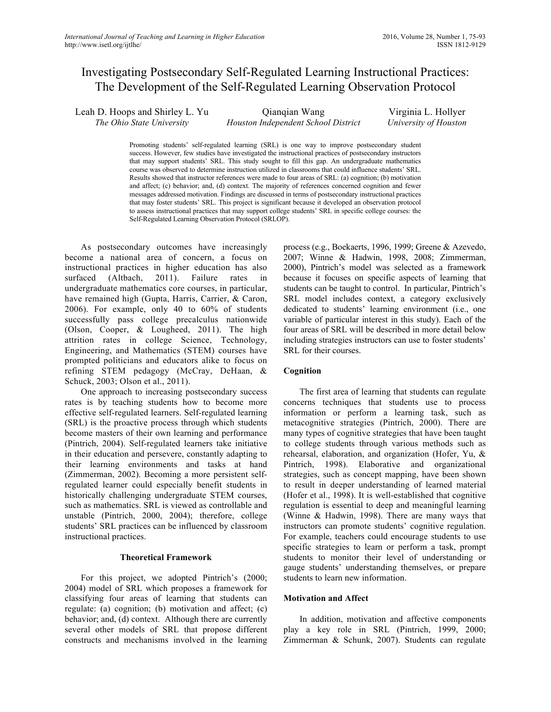# Investigating Postsecondary Self-Regulated Learning Instructional Practices: The Development of the Self-Regulated Learning Observation Protocol

Leah D. Hoops and Shirley L. Yu *The Ohio State University* Qianqian Wang *Houston Independent School District* Virginia L. Hollyer *University of Houston*

> Promoting students' self-regulated learning (SRL) is one way to improve postsecondary student success. However, few studies have investigated the instructional practices of postsecondary instructors that may support students' SRL. This study sought to fill this gap. An undergraduate mathematics course was observed to determine instruction utilized in classrooms that could influence students' SRL. Results showed that instructor references were made to four areas of SRL: (a) cognition; (b) motivation and affect; (c) behavior; and, (d) context. The majority of references concerned cognition and fewer messages addressed motivation. Findings are discussed in terms of postsecondary instructional practices that may foster students' SRL. This project is significant because it developed an observation protocol to assess instructional practices that may support college students' SRL in specific college courses: the Self-Regulated Learning Observation Protocol (SRLOP).

As postsecondary outcomes have increasingly become a national area of concern, a focus on instructional practices in higher education has also surfaced (Altbach, 2011). Failure rates in undergraduate mathematics core courses, in particular, have remained high (Gupta, Harris, Carrier, & Caron, 2006). For example, only 40 to 60% of students successfully pass college precalculus nationwide (Olson, Cooper, & Lougheed, 2011). The high attrition rates in college Science, Technology, Engineering, and Mathematics (STEM) courses have prompted politicians and educators alike to focus on refining STEM pedagogy (McCray, DeHaan, & Schuck, 2003; Olson et al., 2011).

One approach to increasing postsecondary success rates is by teaching students how to become more effective self-regulated learners. Self-regulated learning (SRL) is the proactive process through which students become masters of their own learning and performance (Pintrich, 2004). Self-regulated learners take initiative in their education and persevere, constantly adapting to their learning environments and tasks at hand (Zimmerman, 2002). Becoming a more persistent selfregulated learner could especially benefit students in historically challenging undergraduate STEM courses, such as mathematics. SRL is viewed as controllable and unstable (Pintrich, 2000, 2004); therefore, college students' SRL practices can be influenced by classroom instructional practices.

#### **Theoretical Framework**

For this project, we adopted Pintrich's (2000; 2004) model of SRL which proposes a framework for classifying four areas of learning that students can regulate: (a) cognition; (b) motivation and affect; (c) behavior; and, (d) context. Although there are currently several other models of SRL that propose different constructs and mechanisms involved in the learning

process (e.g., Boekaerts, 1996, 1999; Greene & Azevedo, 2007; Winne & Hadwin, 1998, 2008; Zimmerman, 2000), Pintrich's model was selected as a framework because it focuses on specific aspects of learning that students can be taught to control. In particular, Pintrich's SRL model includes context, a category exclusively dedicated to students' learning environment (i.e., one variable of particular interest in this study). Each of the four areas of SRL will be described in more detail below including strategies instructors can use to foster students' SRL for their courses.

#### **Cognition**

The first area of learning that students can regulate concerns techniques that students use to process information or perform a learning task, such as metacognitive strategies (Pintrich, 2000). There are many types of cognitive strategies that have been taught to college students through various methods such as rehearsal, elaboration, and organization (Hofer, Yu, & Pintrich, 1998). Elaborative and organizational strategies, such as concept mapping, have been shown to result in deeper understanding of learned material (Hofer et al., 1998). It is well-established that cognitive regulation is essential to deep and meaningful learning (Winne & Hadwin, 1998). There are many ways that instructors can promote students' cognitive regulation. For example, teachers could encourage students to use specific strategies to learn or perform a task, prompt students to monitor their level of understanding or gauge students' understanding themselves, or prepare students to learn new information.

#### **Motivation and Affect**

In addition, motivation and affective components play a key role in SRL (Pintrich, 1999, 2000; Zimmerman & Schunk, 2007). Students can regulate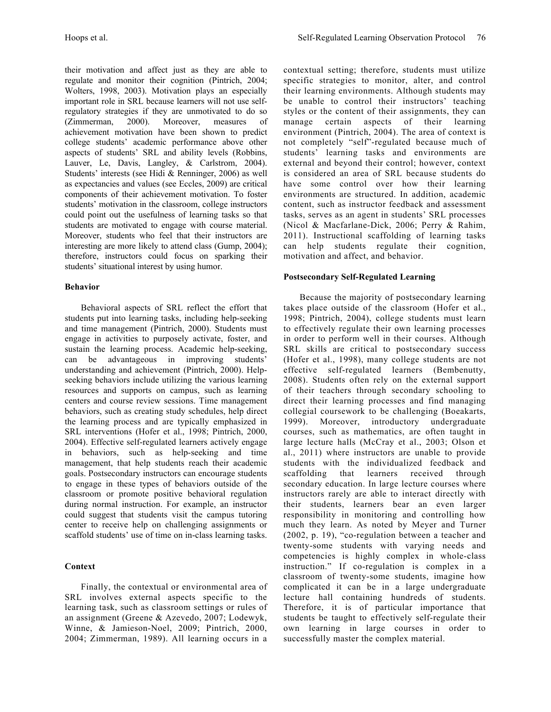their motivation and affect just as they are able to regulate and monitor their cognition (Pintrich, 2004; Wolters, 1998, 2003). Motivation plays an especially important role in SRL because learners will not use selfregulatory strategies if they are unmotivated to do so (Zimmerman, 2000). Moreover, measures of achievement motivation have been shown to predict college students' academic performance above other aspects of students' SRL and ability levels (Robbins, Lauver, Le, Davis, Langley, & Carlstrom, 2004). Students' interests (see Hidi & Renninger, 2006) as well as expectancies and values (see Eccles, 2009) are critical components of their achievement motivation. To foster students' motivation in the classroom, college instructors could point out the usefulness of learning tasks so that students are motivated to engage with course material. Moreover, students who feel that their instructors are interesting are more likely to attend class (Gump, 2004); therefore, instructors could focus on sparking their students' situational interest by using humor.

# **Behavior**

Behavioral aspects of SRL reflect the effort that students put into learning tasks, including help-seeking and time management (Pintrich, 2000). Students must engage in activities to purposely activate, foster, and sustain the learning process. Academic help-seeking, can be advantageous in improving students' understanding and achievement (Pintrich, 2000). Helpseeking behaviors include utilizing the various learning resources and supports on campus, such as learning centers and course review sessions. Time management behaviors, such as creating study schedules, help direct the learning process and are typically emphasized in SRL interventions (Hofer et al., 1998; Pintrich, 2000, 2004). Effective self-regulated learners actively engage in behaviors, such as help-seeking and time management, that help students reach their academic goals. Postsecondary instructors can encourage students to engage in these types of behaviors outside of the classroom or promote positive behavioral regulation during normal instruction. For example, an instructor could suggest that students visit the campus tutoring center to receive help on challenging assignments or scaffold students' use of time on in-class learning tasks.

# **Context**

Finally, the contextual or environmental area of SRL involves external aspects specific to the learning task, such as classroom settings or rules of an assignment (Greene & Azevedo, 2007; Lodewyk, Winne, & Jamieson-Noel, 2009; Pintrich, 2000, 2004; Zimmerman, 1989). All learning occurs in a

contextual setting; therefore, students must utilize specific strategies to monitor, alter, and control their learning environments. Although students may be unable to control their instructors' teaching styles or the content of their assignments, they can manage certain aspects of their learning environment (Pintrich, 2004). The area of context is not completely "self"-regulated because much of students' learning tasks and environments are external and beyond their control; however, context is considered an area of SRL because students do have some control over how their learning environments are structured. In addition, academic content, such as instructor feedback and assessment tasks, serves as an agent in students' SRL processes (Nicol & Macfarlane-Dick, 2006; Perry & Rahim, 2011). Instructional scaffolding of learning tasks can help students regulate their cognition, motivation and affect, and behavior.

# **Postsecondary Self-Regulated Learning**

Because the majority of postsecondary learning takes place outside of the classroom (Hofer et al., 1998; Pintrich, 2004), college students must learn to effectively regulate their own learning processes in order to perform well in their courses. Although SRL skills are critical to postsecondary success (Hofer et al., 1998), many college students are not effective self-regulated learners (Bembenutty, 2008). Students often rely on the external support of their teachers through secondary schooling to direct their learning processes and find managing collegial coursework to be challenging (Boeakarts, 1999). Moreover, introductory undergraduate courses, such as mathematics, are often taught in large lecture halls (McCray et al., 2003; Olson et al., 2011) where instructors are unable to provide students with the individualized feedback and scaffolding that learners received through secondary education. In large lecture courses where instructors rarely are able to interact directly with their students, learners bear an even larger responsibility in monitoring and controlling how much they learn. As noted by Meyer and Turner (2002, p. 19), "co-regulation between a teacher and twenty-some students with varying needs and competencies is highly complex in whole-class instruction." If co-regulation is complex in a classroom of twenty-some students, imagine how complicated it can be in a large undergraduate lecture hall containing hundreds of students. Therefore, it is of particular importance that students be taught to effectively self-regulate their own learning in large courses in order to successfully master the complex material.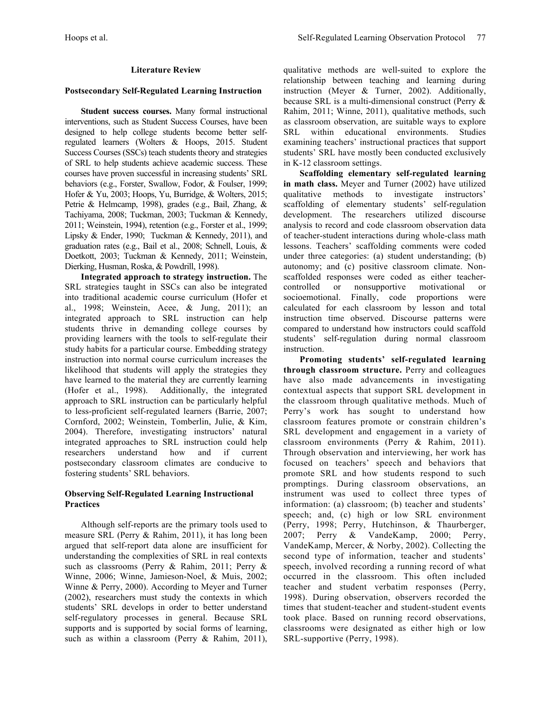# **Literature Review**

#### **Postsecondary Self-Regulated Learning Instruction**

**Student success courses.** Many formal instructional interventions, such as Student Success Courses, have been designed to help college students become better selfregulated learners (Wolters & Hoops, 2015. Student Success Courses (SSCs) teach students theory and strategies of SRL to help students achieve academic success. These courses have proven successful in increasing students' SRL behaviors (e.g., Forster, Swallow, Fodor, & Foulser, 1999; Hofer & Yu, 2003; Hoops, Yu, Burridge, & Wolters, 2015; Petrie & Helmcamp, 1998), grades (e.g., Bail, Zhang, & Tachiyama, 2008; Tuckman, 2003; Tuckman & Kennedy, 2011; Weinstein, 1994), retention (e.g., Forster et al., 1999; Lipsky & Ender, 1990; Tuckman & Kennedy, 2011), and graduation rates (e.g., Bail et al., 2008; Schnell, Louis, & Doetkott, 2003; Tuckman & Kennedy, 2011; Weinstein, Dierking, Husman, Roska, & Powdrill, 1998).

**Integrated approach to strategy instruction.** The SRL strategies taught in SSCs can also be integrated into traditional academic course curriculum (Hofer et al., 1998; Weinstein, Acee, & Jung, 2011); an integrated approach to SRL instruction can help students thrive in demanding college courses by providing learners with the tools to self-regulate their study habits for a particular course. Embedding strategy instruction into normal course curriculum increases the likelihood that students will apply the strategies they have learned to the material they are currently learning (Hofer et al., 1998). Additionally, the integrated approach to SRL instruction can be particularly helpful to less-proficient self-regulated learners (Barrie, 2007; Cornford, 2002; Weinstein, Tomberlin, Julie, & Kim, 2004). Therefore, investigating instructors' natural integrated approaches to SRL instruction could help researchers understand how and if current postsecondary classroom climates are conducive to fostering students' SRL behaviors.

# **Observing Self-Regulated Learning Instructional Practices**

Although self-reports are the primary tools used to measure SRL (Perry & Rahim, 2011), it has long been argued that self-report data alone are insufficient for understanding the complexities of SRL in real contexts such as classrooms (Perry & Rahim, 2011; Perry & Winne, 2006; Winne, Jamieson-Noel, & Muis, 2002; Winne & Perry, 2000). According to Meyer and Turner (2002), researchers must study the contexts in which students' SRL develops in order to better understand self-regulatory processes in general. Because SRL supports and is supported by social forms of learning, such as within a classroom (Perry & Rahim, 2011),

qualitative methods are well-suited to explore the relationship between teaching and learning during instruction (Meyer & Turner, 2002). Additionally, because SRL is a multi-dimensional construct (Perry & Rahim, 2011; Winne, 2011), qualitative methods, such as classroom observation, are suitable ways to explore SRL within educational environments. Studies examining teachers' instructional practices that support students' SRL have mostly been conducted exclusively in K-12 classroom settings.

**Scaffolding elementary self-regulated learning in math class.** Meyer and Turner (2002) have utilized qualitative methods to investigate instructors' scaffolding of elementary students' self-regulation development. The researchers utilized discourse analysis to record and code classroom observation data of teacher-student interactions during whole-class math lessons. Teachers' scaffolding comments were coded under three categories: (a) student understanding; (b) autonomy; and (c) positive classroom climate. Nonscaffolded responses were coded as either teachercontrolled or nonsupportive motivational or socioemotional. Finally, code proportions were calculated for each classroom by lesson and total instruction time observed. Discourse patterns were compared to understand how instructors could scaffold students' self-regulation during normal classroom instruction.

**Promoting students' self-regulated learning through classroom structure.** Perry and colleagues have also made advancements in investigating contextual aspects that support SRL development in the classroom through qualitative methods. Much of Perry's work has sought to understand how classroom features promote or constrain children's SRL development and engagement in a variety of classroom environments (Perry & Rahim, 2011). Through observation and interviewing, her work has focused on teachers' speech and behaviors that promote SRL and how students respond to such promptings. During classroom observations, an instrument was used to collect three types of information: (a) classroom; (b) teacher and students' speech; and, (c) high or low SRL environment (Perry, 1998; Perry, Hutchinson, & Thaurberger, 2007; Perry & VandeKamp, 2000; Perry, VandeKamp, Mercer, & Norby, 2002). Collecting the second type of information, teacher and students' speech, involved recording a running record of what occurred in the classroom. This often included teacher and student verbatim responses (Perry, 1998). During observation, observers recorded the times that student-teacher and student-student events took place. Based on running record observations, classrooms were designated as either high or low SRL-supportive (Perry, 1998).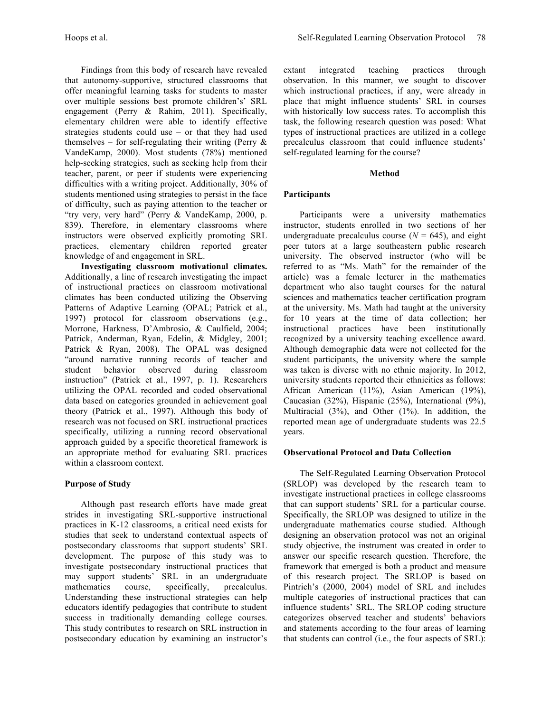Findings from this body of research have revealed that autonomy-supportive, structured classrooms that offer meaningful learning tasks for students to master over multiple sessions best promote children's' SRL engagement (Perry & Rahim, 2011). Specifically, elementary children were able to identify effective strategies students could use – or that they had used themselves – for self-regulating their writing (Perry  $\&$ VandeKamp, 2000). Most students (78%) mentioned help-seeking strategies, such as seeking help from their teacher, parent, or peer if students were experiencing

difficulties with a writing project. Additionally, 30% of students mentioned using strategies to persist in the face of difficulty, such as paying attention to the teacher or "try very, very hard" (Perry & VandeKamp, 2000, p. 839). Therefore, in elementary classrooms where instructors were observed explicitly promoting SRL practices, elementary children reported greater knowledge of and engagement in SRL.

**Investigating classroom motivational climates.**  Additionally, a line of research investigating the impact of instructional practices on classroom motivational climates has been conducted utilizing the Observing Patterns of Adaptive Learning (OPAL; Patrick et al., 1997) protocol for classroom observations (e.g., Morrone, Harkness, D'Ambrosio, & Caulfield, 2004; Patrick, Anderman, Ryan, Edelin, & Midgley, 2001; Patrick & Ryan, 2008). The OPAL was designed "around narrative running records of teacher and student behavior observed during classroom instruction" (Patrick et al., 1997, p. 1). Researchers utilizing the OPAL recorded and coded observational data based on categories grounded in achievement goal theory (Patrick et al., 1997). Although this body of research was not focused on SRL instructional practices specifically, utilizing a running record observational approach guided by a specific theoretical framework is an appropriate method for evaluating SRL practices within a classroom context.

# **Purpose of Study**

Although past research efforts have made great strides in investigating SRL-supportive instructional practices in K-12 classrooms, a critical need exists for studies that seek to understand contextual aspects of postsecondary classrooms that support students' SRL development. The purpose of this study was to investigate postsecondary instructional practices that may support students' SRL in an undergraduate mathematics course, specifically, precalculus. Understanding these instructional strategies can help educators identify pedagogies that contribute to student success in traditionally demanding college courses. This study contributes to research on SRL instruction in postsecondary education by examining an instructor's

extant integrated teaching practices through observation. In this manner, we sought to discover which instructional practices, if any, were already in place that might influence students' SRL in courses with historically low success rates. To accomplish this task, the following research question was posed: What types of instructional practices are utilized in a college precalculus classroom that could influence students' self-regulated learning for the course?

### **Method**

# **Participants**

Participants were a university mathematics instructor, students enrolled in two sections of her undergraduate precalculus course  $(N = 645)$ , and eight peer tutors at a large southeastern public research university. The observed instructor (who will be referred to as "Ms. Math" for the remainder of the article) was a female lecturer in the mathematics department who also taught courses for the natural sciences and mathematics teacher certification program at the university. Ms. Math had taught at the university for 10 years at the time of data collection; her instructional practices have been institutionally recognized by a university teaching excellence award. Although demographic data were not collected for the student participants, the university where the sample was taken is diverse with no ethnic majority. In 2012, university students reported their ethnicities as follows: African American (11%), Asian American (19%), Caucasian (32%), Hispanic (25%), International (9%), Multiracial (3%), and Other (1%). In addition, the reported mean age of undergraduate students was 22.5 years.

# **Observational Protocol and Data Collection**

The Self-Regulated Learning Observation Protocol (SRLOP) was developed by the research team to investigate instructional practices in college classrooms that can support students' SRL for a particular course. Specifically, the SRLOP was designed to utilize in the undergraduate mathematics course studied. Although designing an observation protocol was not an original study objective, the instrument was created in order to answer our specific research question. Therefore, the framework that emerged is both a product and measure of this research project. The SRLOP is based on Pintrich's (2000, 2004) model of SRL and includes multiple categories of instructional practices that can influence students' SRL. The SRLOP coding structure categorizes observed teacher and students' behaviors and statements according to the four areas of learning that students can control (i.e., the four aspects of SRL):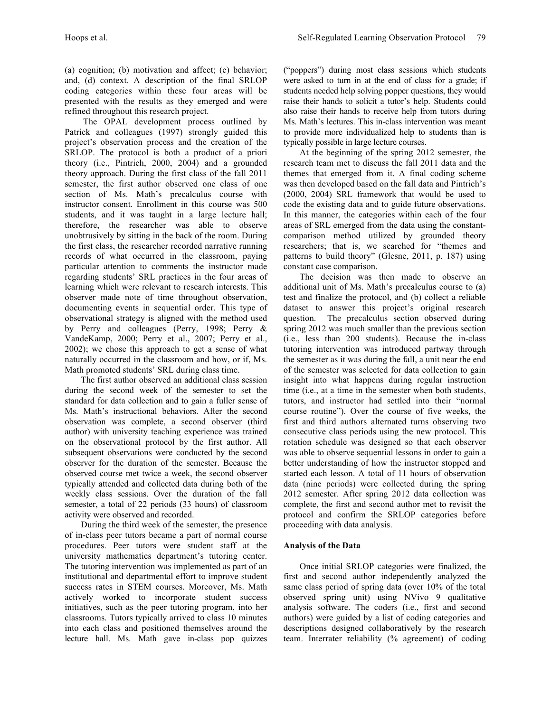(a) cognition; (b) motivation and affect; (c) behavior; and, (d) context. A description of the final SRLOP coding categories within these four areas will be presented with the results as they emerged and were refined throughout this research project.

The OPAL development process outlined by Patrick and colleagues (1997) strongly guided this project's observation process and the creation of the SRLOP. The protocol is both a product of a priori theory (i.e., Pintrich, 2000, 2004) and a grounded theory approach. During the first class of the fall 2011 semester, the first author observed one class of one section of Ms. Math's precalculus course with instructor consent. Enrollment in this course was 500 students, and it was taught in a large lecture hall; therefore, the researcher was able to observe unobtrusively by sitting in the back of the room. During the first class, the researcher recorded narrative running records of what occurred in the classroom, paying particular attention to comments the instructor made regarding students' SRL practices in the four areas of learning which were relevant to research interests. This observer made note of time throughout observation, documenting events in sequential order. This type of observational strategy is aligned with the method used by Perry and colleagues (Perry, 1998; Perry & VandeKamp, 2000; Perry et al., 2007; Perry et al., 2002); we chose this approach to get a sense of what naturally occurred in the classroom and how, or if, Ms. Math promoted students' SRL during class time.

The first author observed an additional class session during the second week of the semester to set the standard for data collection and to gain a fuller sense of Ms. Math's instructional behaviors. After the second observation was complete, a second observer (third author) with university teaching experience was trained on the observational protocol by the first author. All subsequent observations were conducted by the second observer for the duration of the semester. Because the observed course met twice a week, the second observer typically attended and collected data during both of the weekly class sessions. Over the duration of the fall semester, a total of 22 periods (33 hours) of classroom activity were observed and recorded.

During the third week of the semester, the presence of in-class peer tutors became a part of normal course procedures. Peer tutors were student staff at the university mathematics department's tutoring center. The tutoring intervention was implemented as part of an institutional and departmental effort to improve student success rates in STEM courses. Moreover, Ms. Math actively worked to incorporate student success initiatives, such as the peer tutoring program, into her classrooms. Tutors typically arrived to class 10 minutes into each class and positioned themselves around the lecture hall. Ms. Math gave in-class pop quizzes

("poppers") during most class sessions which students were asked to turn in at the end of class for a grade; if students needed help solving popper questions, they would raise their hands to solicit a tutor's help. Students could also raise their hands to receive help from tutors during Ms. Math's lectures. This in-class intervention was meant to provide more individualized help to students than is typically possible in large lecture courses.

At the beginning of the spring 2012 semester, the research team met to discuss the fall 2011 data and the themes that emerged from it. A final coding scheme was then developed based on the fall data and Pintrich's (2000, 2004) SRL framework that would be used to code the existing data and to guide future observations. In this manner, the categories within each of the four areas of SRL emerged from the data using the constantcomparison method utilized by grounded theory researchers; that is, we searched for "themes and patterns to build theory" (Glesne, 2011, p. 187) using constant case comparison.

The decision was then made to observe an additional unit of Ms. Math's precalculus course to (a) test and finalize the protocol, and (b) collect a reliable dataset to answer this project's original research question. The precalculus section observed during spring 2012 was much smaller than the previous section (i.e., less than 200 students). Because the in-class tutoring intervention was introduced partway through the semester as it was during the fall, a unit near the end of the semester was selected for data collection to gain insight into what happens during regular instruction time (i.e., at a time in the semester when both students, tutors, and instructor had settled into their "normal course routine"). Over the course of five weeks, the first and third authors alternated turns observing two consecutive class periods using the new protocol. This rotation schedule was designed so that each observer was able to observe sequential lessons in order to gain a better understanding of how the instructor stopped and started each lesson. A total of 11 hours of observation data (nine periods) were collected during the spring 2012 semester. After spring 2012 data collection was complete, the first and second author met to revisit the protocol and confirm the SRLOP categories before proceeding with data analysis.

# **Analysis of the Data**

Once initial SRLOP categories were finalized, the first and second author independently analyzed the same class period of spring data (over 10% of the total observed spring unit) using NVivo 9 qualitative analysis software. The coders (i.e., first and second authors) were guided by a list of coding categories and descriptions designed collaboratively by the research team. Interrater reliability (% agreement) of coding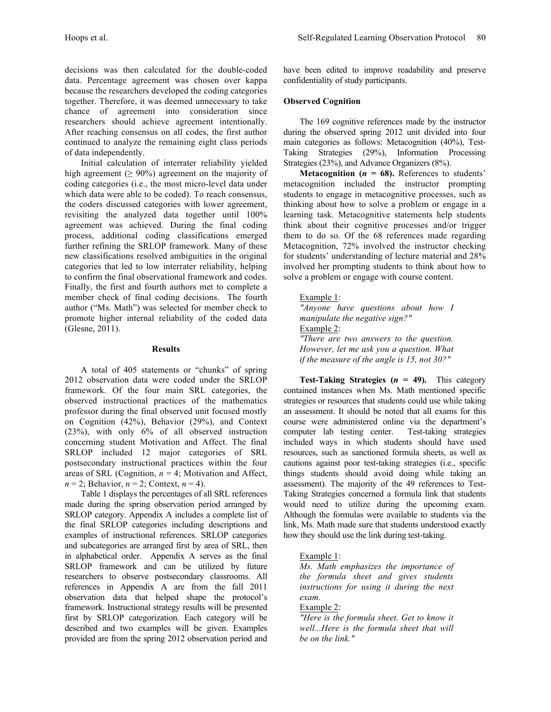decisions was then calculated for the double-coded data. Percentage agreement was chosen over kappa because the researchers developed the coding categories together. Therefore, it was deemed unnecessary to take chance of agreement into consideration since researchers should achieve agreement intentionally. After reaching consensus on all codes, the first author continued to analyze the remaining eight class periods of data independently.

Initial calculation of interrater reliability yielded high agreement ( $\geq 90\%$ ) agreement on the majority of coding categories (i.e., the most micro-level data under which data were able to be coded). To reach consensus, the coders discussed categories with lower agreement, revisiting the analyzed data together until 100% agreement was achieved. During the final coding process, additional coding classifications emerged further refining the SRLOP framework. Many of these new classifications resolved ambiguities in the original categories that led to low interrater reliability, helping to confirm the final observational framework and codes. Finally, the first and fourth authors met to complete a member check of final coding decisions. The fourth author ("Ms. Math") was selected for member check to promote higher internal reliability of the coded data (Glesne, 2011).

#### **Results**

A total of 405 statements or "chunks" of spring 2012 observation data were coded under the SRLOP framework. Of the four main SRL categories, the observed instructional practices of the mathematics professor during the final observed unit focused mostly on Cognition (42%), Behavior (29%), and Context (23%), with only 6% of all observed instruction concerning student Motivation and Affect. The final SRLOP included 12 major categories of SRL postsecondary instructional practices within the four areas of SRL (Cognition, *n* = 4; Motivation and Affect,  $n = 2$ ; Behavior,  $n = 2$ ; Context,  $n = 4$ ).

Table 1 displays the percentages of all SRL references made during the spring observation period arranged by SRLOP category. Appendix A includes a complete list of the final SRLOP categories including descriptions and examples of instructional references. SRLOP categories and subcategories are arranged first by area of SRL, then in alphabetical order. Appendix A serves as the final SRLOP framework and can be utilized by future researchers to observe postsecondary classrooms. All references in Appendix A are from the fall 2011 observation data that helped shape the protocol's framework. Instructional strategy results will be presented first by SRLOP categorization. Each category will be described and two examples will be given. Examples provided are from the spring 2012 observation period and have been edited to improve readability and preserve confidentiality of study participants.

# **Observed Cognition**

The 169 cognitive references made by the instructor during the observed spring 2012 unit divided into four main categories as follows: Metacognition (40%), Test-Taking Strategies (29%), Information Processing Strategies (23%), and Advance Organizers (8%).

**Metacognition (** $n = 68$ **).** References to students' metacognition included the instructor prompting students to engage in metacognitive processes, such as thinking about how to solve a problem or engage in a learning task. Metacognitive statements help students think about their cognitive processes and/or trigger them to do so. Of the 68 references made regarding Metacognition, 72% involved the instructor checking for students' understanding of lecture material and 28% involved her prompting students to think about how to solve a problem or engage with course content.

# Example 1:

*"Anyone have questions about how I manipulate the negative sign?"* Example 2: *"There are two answers to the question. However, let me ask you a question. What if the measure of the angle is 15, not 30?"*

**Test-Taking Strategies (** $n = 49$ **). This category** contained instances when Ms. Math mentioned specific strategies or resources that students could use while taking an assessment. It should be noted that all exams for this course were administered online via the department's computer lab testing center. Test-taking strategies included ways in which students should have used resources, such as sanctioned formula sheets, as well as cautions against poor test-taking strategies (i.e., specific things students should avoid doing while taking an assessment). The majority of the 49 references to Test-Taking Strategies concerned a formula link that students would need to utilize during the upcoming exam. Although the formulas were available to students via the link, Ms. Math made sure that students understood exactly how they should use the link during test-taking.

# Example 1:

*Ms. Math emphasizes the importance of the formula sheet and gives students instructions for using it during the next exam.*

Example 2:

*"Here is the formula sheet. Get to know it well...Here is the formula sheet that will be on the link."*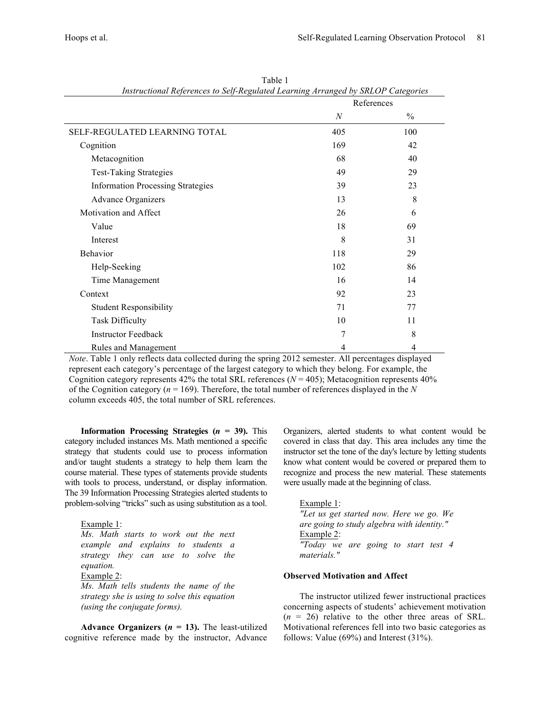|                                          | thsu actional references to bey-regulated Learning Arranged by BRLOT Categories<br>References |               |
|------------------------------------------|-----------------------------------------------------------------------------------------------|---------------|
|                                          | $\boldsymbol{N}$                                                                              | $\frac{0}{0}$ |
| SELF-REGULATED LEARNING TOTAL            | 405                                                                                           | 100           |
| Cognition                                | 169                                                                                           | 42            |
| Metacognition                            | 68                                                                                            | 40            |
| <b>Test-Taking Strategies</b>            | 49                                                                                            | 29            |
| <b>Information Processing Strategies</b> | 39                                                                                            | 23            |
| <b>Advance Organizers</b>                | 13                                                                                            | 8             |
| Motivation and Affect                    | 26                                                                                            | 6             |
| Value                                    | 18                                                                                            | 69            |
| Interest                                 | 8                                                                                             | 31            |
| Behavior                                 | 118                                                                                           | 29            |
| Help-Seeking                             | 102                                                                                           | 86            |
| Time Management                          | 16                                                                                            | 14            |
| Context                                  | 92                                                                                            | 23            |
| <b>Student Responsibility</b>            | 71                                                                                            | 77            |
| <b>Task Difficulty</b>                   | 10                                                                                            | 11            |
| <b>Instructor Feedback</b>               | 7                                                                                             | 8             |
| Rules and Management                     | 4                                                                                             | 4             |

Table 1 *Instructional References to Self-Regulated Learning Arranged by SRLOP Categories*

*Note*. Table 1 only reflects data collected during the spring 2012 semester. All percentages displayed represent each category's percentage of the largest category to which they belong. For example, the Cognition category represents  $42\%$  the total SRL references ( $N = 405$ ); Metacognition represents  $40\%$ of the Cognition category (*n* = 169). Therefore, the total number of references displayed in the *N* column exceeds 405, the total number of SRL references.

**Information Processing Strategies (** $n = 39$ **). This** category included instances Ms. Math mentioned a specific strategy that students could use to process information and/or taught students a strategy to help them learn the course material. These types of statements provide students with tools to process, understand, or display information. The 39 Information Processing Strategies alerted students to problem-solving "tricks" such as using substitution as a tool.

#### Example 1:

*Ms. Math starts to work out the next example and explains to students a strategy they can use to solve the equation.* Example 2: *Ms. Math tells students the name of the* 

*strategy she is using to solve this equation (using the conjugate forms).* 

Advance Organizers  $(n = 13)$ . The least-utilized cognitive reference made by the instructor, Advance Organizers, alerted students to what content would be covered in class that day. This area includes any time the instructor set the tone of the day's lecture by letting students know what content would be covered or prepared them to recognize and process the new material. These statements were usually made at the beginning of class.

Example 1: *"Let us get started now. Here we go. We are going to study algebra with identity."* Example 2: *"Today we are going to start test 4 materials."*

### **Observed Motivation and Affect**

The instructor utilized fewer instructional practices concerning aspects of students' achievement motivation  $(n = 26)$  relative to the other three areas of SRL. Motivational references fell into two basic categories as follows: Value (69%) and Interest (31%).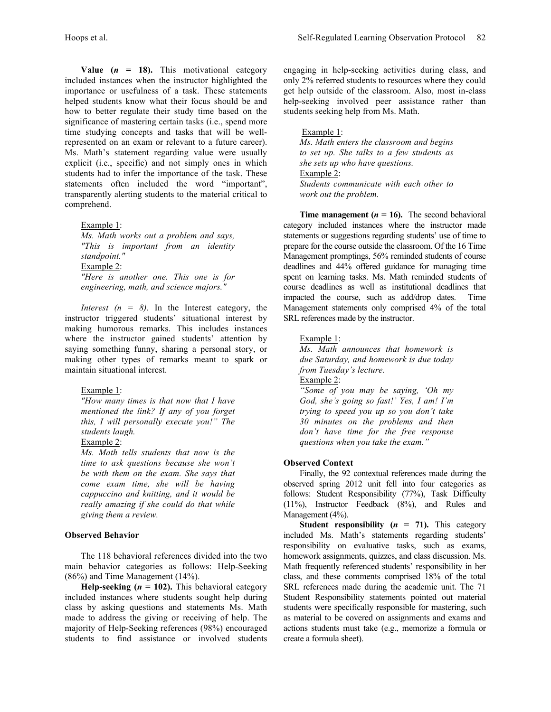**Value (** $n = 18$ **).** This motivational category included instances when the instructor highlighted the importance or usefulness of a task. These statements helped students know what their focus should be and how to better regulate their study time based on the significance of mastering certain tasks (i.e., spend more time studying concepts and tasks that will be wellrepresented on an exam or relevant to a future career). Ms. Math's statement regarding value were usually explicit (i.e., specific) and not simply ones in which students had to infer the importance of the task. These statements often included the word "important", transparently alerting students to the material critical to comprehend.

Example 1:

*Ms. Math works out a problem and says, "This is important from an identity standpoint."*  Example 2: *"Here is another one. This one is for engineering, math, and science majors."*

*Interest (n = 8).* In the Interest category, the instructor triggered students' situational interest by making humorous remarks. This includes instances where the instructor gained students' attention by saying something funny, sharing a personal story, or making other types of remarks meant to spark or maintain situational interest.

#### Example 1:

*"How many times is that now that I have mentioned the link? If any of you forget this, I will personally execute you!" The students laugh.*

# Example 2:

*Ms. Math tells students that now is the time to ask questions because she won't be with them on the exam. She says that come exam time, she will be having cappuccino and knitting, and it would be really amazing if she could do that while giving them a review.*

# **Observed Behavior**

The 118 behavioral references divided into the two main behavior categories as follows: Help-Seeking (86%) and Time Management (14%).

**Help-seeking (** $n = 102$ **). This behavioral category** included instances where students sought help during class by asking questions and statements Ms. Math made to address the giving or receiving of help. The majority of Help-Seeking references (98%) encouraged students to find assistance or involved students

engaging in help-seeking activities during class, and only 2% referred students to resources where they could get help outside of the classroom. Also, most in-class help-seeking involved peer assistance rather than students seeking help from Ms. Math.

Example 1: *Ms. Math enters the classroom and begins to set up. She talks to a few students as she sets up who have questions.* Example 2: *Students communicate with each other to work out the problem.*

**Time management (** $n = 16$ **). The second behavioral** category included instances where the instructor made statements or suggestions regarding students' use of time to prepare for the course outside the classroom. Of the 16 Time Management promptings, 56% reminded students of course deadlines and 44% offered guidance for managing time spent on learning tasks. Ms. Math reminded students of course deadlines as well as institutional deadlines that impacted the course, such as add/drop dates. Time Management statements only comprised 4% of the total SRL references made by the instructor.

Example 1:

*Ms. Math announces that homework is due Saturday, and homework is due today from Tuesday's lecture.* Example 2: *"Some of you may be saying, 'Oh my God, she's going so fast!' Yes, I am! I'm trying to speed you up so you don't take 30 minutes on the problems and then don't have time for the free response questions when you take the exam."*

#### **Observed Context**

Finally, the 92 contextual references made during the observed spring 2012 unit fell into four categories as follows: Student Responsibility (77%), Task Difficulty (11%), Instructor Feedback (8%), and Rules and Management (4%).

**Student responsibility (** $n = 71$ **). This category** included Ms. Math's statements regarding students' responsibility on evaluative tasks, such as exams, homework assignments, quizzes, and class discussion. Ms. Math frequently referenced students' responsibility in her class, and these comments comprised 18% of the total SRL references made during the academic unit. The 71 Student Responsibility statements pointed out material students were specifically responsible for mastering, such as material to be covered on assignments and exams and actions students must take (e.g., memorize a formula or create a formula sheet).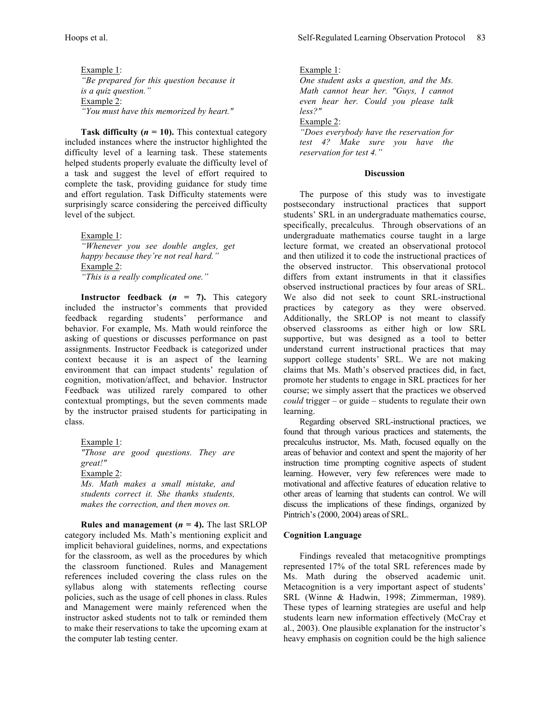Example 1: *"Be prepared for this question because it is a quiz question."* Example 2: *"You must have this memorized by heart."*

**Task difficulty (** $n = 10$ **). This contextual category** included instances where the instructor highlighted the difficulty level of a learning task. These statements helped students properly evaluate the difficulty level of a task and suggest the level of effort required to complete the task, providing guidance for study time and effort regulation. Task Difficulty statements were surprisingly scarce considering the perceived difficulty level of the subject.

Example 1:

*"Whenever you see double angles, get happy because they're not real hard."*  Example 2: *"This is a really complicated one."*

**Instructor feedback**  $(n = 7)$ **. This category** included the instructor's comments that provided feedback regarding students' performance and behavior. For example, Ms. Math would reinforce the asking of questions or discusses performance on past assignments. Instructor Feedback is categorized under context because it is an aspect of the learning environment that can impact students' regulation of cognition, motivation/affect, and behavior. Instructor Feedback was utilized rarely compared to other contextual promptings, but the seven comments made by the instructor praised students for participating in class.

Example 1: *"Those are good questions. They are great!"* Example 2: *Ms. Math makes a small mistake, and students correct it. She thanks students, makes the correction, and then moves on.* 

**Rules and management**  $(n = 4)$ **. The last SRLOP** category included Ms. Math's mentioning explicit and implicit behavioral guidelines, norms, and expectations for the classroom, as well as the procedures by which the classroom functioned. Rules and Management references included covering the class rules on the syllabus along with statements reflecting course policies, such as the usage of cell phones in class. Rules and Management were mainly referenced when the instructor asked students not to talk or reminded them to make their reservations to take the upcoming exam at the computer lab testing center.

Example 1:

*One student asks a question, and the Ms. Math cannot hear her. "Guys, I cannot even hear her. Could you please talk less?"*

Example 2:

*"Does everybody have the reservation for test 4? Make sure you have the reservation for test 4."*

### **Discussion**

The purpose of this study was to investigate postsecondary instructional practices that support students' SRL in an undergraduate mathematics course, specifically, precalculus. Through observations of an undergraduate mathematics course taught in a large lecture format, we created an observational protocol and then utilized it to code the instructional practices of the observed instructor. This observational protocol differs from extant instruments in that it classifies observed instructional practices by four areas of SRL. We also did not seek to count SRL-instructional practices by category as they were observed. Additionally, the SRLOP is not meant to classify observed classrooms as either high or low SRL supportive, but was designed as a tool to better understand current instructional practices that may support college students' SRL. We are not making claims that Ms. Math's observed practices did, in fact, promote her students to engage in SRL practices for her course; we simply assert that the practices we observed *could* trigger – or guide – students to regulate their own learning.

Regarding observed SRL-instructional practices, we found that through various practices and statements, the precalculus instructor, Ms. Math, focused equally on the areas of behavior and context and spent the majority of her instruction time prompting cognitive aspects of student learning. However, very few references were made to motivational and affective features of education relative to other areas of learning that students can control. We will discuss the implications of these findings, organized by Pintrich's (2000, 2004) areas of SRL.

# **Cognition Language**

Findings revealed that metacognitive promptings represented 17% of the total SRL references made by Ms. Math during the observed academic unit. Metacognition is a very important aspect of students' SRL (Winne & Hadwin, 1998; Zimmerman, 1989). These types of learning strategies are useful and help students learn new information effectively (McCray et al., 2003). One plausible explanation for the instructor's heavy emphasis on cognition could be the high salience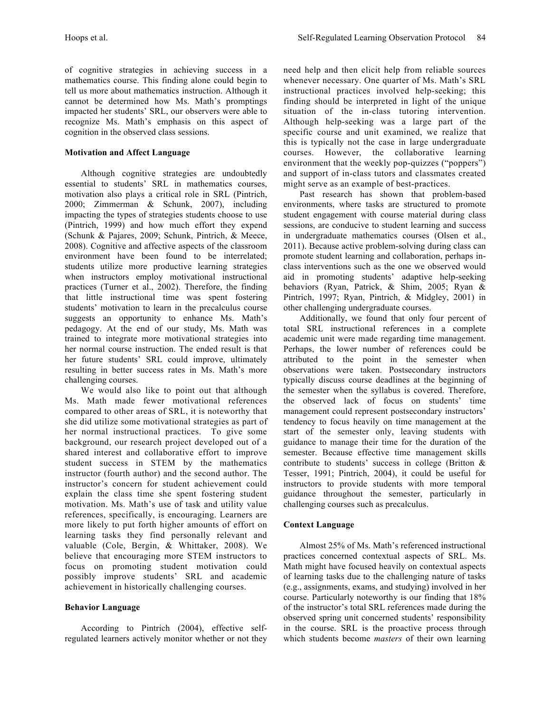of cognitive strategies in achieving success in a mathematics course. This finding alone could begin to tell us more about mathematics instruction. Although it cannot be determined how Ms. Math's promptings impacted her students' SRL, our observers were able to recognize Ms. Math's emphasis on this aspect of cognition in the observed class sessions.

# **Motivation and Affect Language**

Although cognitive strategies are undoubtedly essential to students' SRL in mathematics courses, motivation also plays a critical role in SRL (Pintrich, 2000; Zimmerman & Schunk, 2007), including impacting the types of strategies students choose to use (Pintrich, 1999) and how much effort they expend (Schunk & Pajares, 2009; Schunk, Pintrich, & Meece, 2008). Cognitive and affective aspects of the classroom environment have been found to be interrelated; students utilize more productive learning strategies when instructors employ motivational instructional practices (Turner et al., 2002). Therefore, the finding that little instructional time was spent fostering students' motivation to learn in the precalculus course suggests an opportunity to enhance Ms. Math's pedagogy. At the end of our study, Ms. Math was trained to integrate more motivational strategies into her normal course instruction. The ended result is that her future students' SRL could improve, ultimately resulting in better success rates in Ms. Math's more challenging courses.

We would also like to point out that although Ms. Math made fewer motivational references compared to other areas of SRL, it is noteworthy that she did utilize some motivational strategies as part of her normal instructional practices. To give some background, our research project developed out of a shared interest and collaborative effort to improve student success in STEM by the mathematics instructor (fourth author) and the second author. The instructor's concern for student achievement could explain the class time she spent fostering student motivation. Ms. Math's use of task and utility value references, specifically, is encouraging. Learners are more likely to put forth higher amounts of effort on learning tasks they find personally relevant and valuable (Cole, Bergin, & Whittaker, 2008). We believe that encouraging more STEM instructors to focus on promoting student motivation could possibly improve students' SRL and academic achievement in historically challenging courses.

#### **Behavior Language**

According to Pintrich (2004), effective selfregulated learners actively monitor whether or not they need help and then elicit help from reliable sources whenever necessary. One quarter of Ms. Math's SRL instructional practices involved help-seeking; this finding should be interpreted in light of the unique situation of the in-class tutoring intervention. Although help-seeking was a large part of the specific course and unit examined, we realize that this is typically not the case in large undergraduate courses. However, the collaborative learning environment that the weekly pop-quizzes ("poppers") and support of in-class tutors and classmates created might serve as an example of best-practices.

Past research has shown that problem-based environments, where tasks are structured to promote student engagement with course material during class sessions, are conducive to student learning and success in undergraduate mathematics courses (Olsen et al., 2011). Because active problem-solving during class can promote student learning and collaboration, perhaps inclass interventions such as the one we observed would aid in promoting students' adaptive help-seeking behaviors (Ryan, Patrick, & Shim, 2005; Ryan & Pintrich, 1997; Ryan, Pintrich, & Midgley, 2001) in other challenging undergraduate courses.

Additionally, we found that only four percent of total SRL instructional references in a complete academic unit were made regarding time management. Perhaps, the lower number of references could be attributed to the point in the semester when observations were taken. Postsecondary instructors typically discuss course deadlines at the beginning of the semester when the syllabus is covered. Therefore, the observed lack of focus on students' time management could represent postsecondary instructors' tendency to focus heavily on time management at the start of the semester only, leaving students with guidance to manage their time for the duration of the semester. Because effective time management skills contribute to students' success in college (Britton & Tesser, 1991; Pintrich, 2004), it could be useful for instructors to provide students with more temporal guidance throughout the semester, particularly in challenging courses such as precalculus.

#### **Context Language**

Almost 25% of Ms. Math's referenced instructional practices concerned contextual aspects of SRL. Ms. Math might have focused heavily on contextual aspects of learning tasks due to the challenging nature of tasks (e.g., assignments, exams, and studying) involved in her course. Particularly noteworthy is our finding that 18% of the instructor's total SRL references made during the observed spring unit concerned students' responsibility in the course. SRL is the proactive process through which students become *masters* of their own learning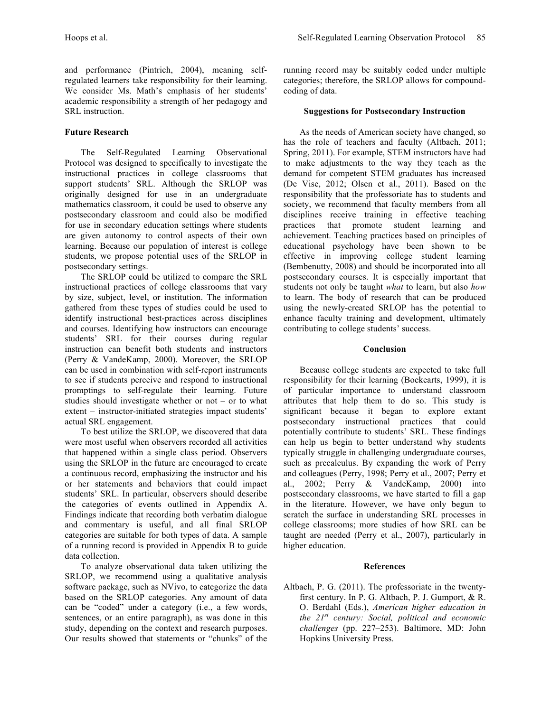and performance (Pintrich, 2004), meaning selfregulated learners take responsibility for their learning. We consider Ms. Math's emphasis of her students' academic responsibility a strength of her pedagogy and SRL instruction.

# **Future Research**

The Self-Regulated Learning Observational Protocol was designed to specifically to investigate the instructional practices in college classrooms that support students' SRL. Although the SRLOP was originally designed for use in an undergraduate mathematics classroom, it could be used to observe any postsecondary classroom and could also be modified for use in secondary education settings where students are given autonomy to control aspects of their own learning. Because our population of interest is college students, we propose potential uses of the SRLOP in postsecondary settings.

The SRLOP could be utilized to compare the SRL instructional practices of college classrooms that vary by size, subject, level, or institution. The information gathered from these types of studies could be used to identify instructional best-practices across disciplines and courses. Identifying how instructors can encourage students' SRL for their courses during regular instruction can benefit both students and instructors (Perry & VandeKamp, 2000). Moreover, the SRLOP can be used in combination with self-report instruments to see if students perceive and respond to instructional promptings to self-regulate their learning. Future studies should investigate whether or not – or to what extent – instructor-initiated strategies impact students' actual SRL engagement.

To best utilize the SRLOP, we discovered that data were most useful when observers recorded all activities that happened within a single class period. Observers using the SRLOP in the future are encouraged to create a continuous record, emphasizing the instructor and his or her statements and behaviors that could impact students' SRL. In particular, observers should describe the categories of events outlined in Appendix A. Findings indicate that recording both verbatim dialogue and commentary is useful, and all final SRLOP categories are suitable for both types of data. A sample of a running record is provided in Appendix B to guide data collection.

To analyze observational data taken utilizing the SRLOP, we recommend using a qualitative analysis software package, such as NVivo, to categorize the data based on the SRLOP categories. Any amount of data can be "coded" under a category (i.e., a few words, sentences, or an entire paragraph), as was done in this study, depending on the context and research purposes. Our results showed that statements or "chunks" of the

running record may be suitably coded under multiple categories; therefore, the SRLOP allows for compoundcoding of data.

# **Suggestions for Postsecondary Instruction**

As the needs of American society have changed, so has the role of teachers and faculty (Altbach, 2011; Spring, 2011). For example, STEM instructors have had to make adjustments to the way they teach as the demand for competent STEM graduates has increased (De Vise, 2012; Olsen et al., 2011). Based on the responsibility that the professoriate has to students and society, we recommend that faculty members from all disciplines receive training in effective teaching practices that promote student learning and achievement. Teaching practices based on principles of educational psychology have been shown to be effective in improving college student learning (Bembenutty, 2008) and should be incorporated into all postsecondary courses. It is especially important that students not only be taught *what* to learn, but also *how* to learn. The body of research that can be produced using the newly-created SRLOP has the potential to enhance faculty training and development, ultimately contributing to college students' success.

# **Conclusion**

Because college students are expected to take full responsibility for their learning (Boekearts, 1999), it is of particular importance to understand classroom attributes that help them to do so. This study is significant because it began to explore extant postsecondary instructional practices that could potentially contribute to students' SRL. These findings can help us begin to better understand why students typically struggle in challenging undergraduate courses, such as precalculus. By expanding the work of Perry and colleagues (Perry, 1998; Perry et al., 2007; Perry et al., 2002; Perry & VandeKamp, 2000) into postsecondary classrooms, we have started to fill a gap in the literature. However, we have only begun to scratch the surface in understanding SRL processes in college classrooms; more studies of how SRL can be taught are needed (Perry et al., 2007), particularly in higher education.

# **References**

Altbach, P. G. (2011). The professoriate in the twentyfirst century. In P. G. Altbach, P. J. Gumport, & R. O. Berdahl (Eds.), *American higher education in the 21st century: Social, political and economic challenges* (pp. 227–253). Baltimore, MD: John Hopkins University Press.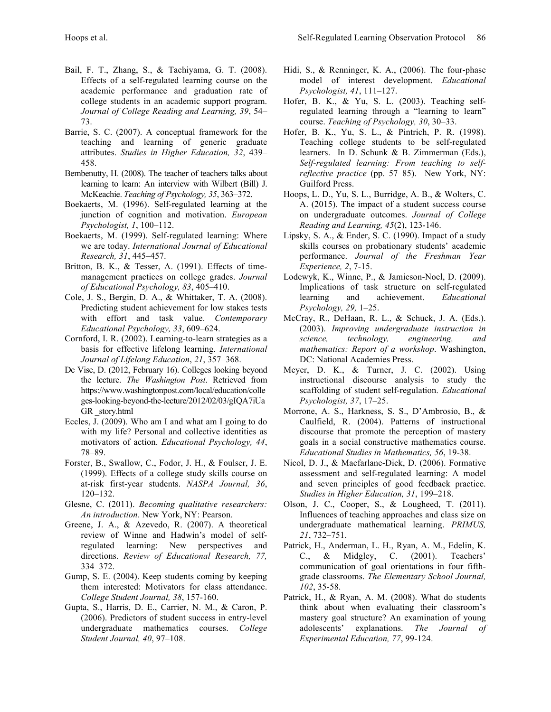- Bail, F. T., Zhang, S., & Tachiyama, G. T. (2008). Effects of a self-regulated learning course on the academic performance and graduation rate of college students in an academic support program. *Journal of College Reading and Learning, 39*, 54– 73.
- Barrie, S. C. (2007). A conceptual framework for the teaching and learning of generic graduate attributes. *Studies in Higher Education, 32*, 439– 458.
- Bembenutty, H. (2008). The teacher of teachers talks about learning to learn: An interview with Wilbert (Bill) J. McKeachie. *Teaching of Psychology, 35*, 363–372.
- Boekaerts, M. (1996). Self-regulated learning at the junction of cognition and motivation. *European Psychologist, 1*, 100–112.
- Boekaerts, M. (1999). Self-regulated learning: Where we are today. *International Journal of Educational Research, 31*, 445–457.
- Britton, B. K., & Tesser, A. (1991). Effects of timemanagement practices on college grades. *Journal of Educational Psychology, 83*, 405–410.
- Cole, J. S., Bergin, D. A., & Whittaker, T. A. (2008). Predicting student achievement for low stakes tests with effort and task value. *Contemporary Educational Psychology, 33*, 609–624.
- Cornford, I. R. (2002). Learning-to-learn strategies as a basis for effective lifelong learning. *International Journal of Lifelong Education*, *21*, 357–368.
- De Vise, D. (2012, February 16). Colleges looking beyond the lecture. *The Washington Post*. Retrieved from https://www.washingtonpost.com/local/education/colle ges-looking-beyond-the-lecture/2012/02/03/gIQA7iUa GR \_story.html
- Eccles, J. (2009). Who am I and what am I going to do with my life? Personal and collective identities as motivators of action. *Educational Psychology, 44*, 78–89.
- Forster, B., Swallow, C., Fodor, J. H., & Foulser, J. E. (1999). Effects of a college study skills course on at-risk first-year students. *NASPA Journal, 36*, 120–132.
- Glesne, C. (2011). *Becoming qualitative researchers: An introduction*. New York, NY: Pearson.
- Greene, J. A., & Azevedo, R. (2007). A theoretical review of Winne and Hadwin's model of selfregulated learning: New perspectives and directions. *Review of Educational Research, 77,* 334–372.
- Gump, S. E. (2004). Keep students coming by keeping them interested: Motivators for class attendance. *College Student Journal, 38*, 157-160.
- Gupta, S., Harris, D. E., Carrier, N. M., & Caron, P. (2006). Predictors of student success in entry-level undergraduate mathematics courses. *College Student Journal, 40*, 97–108.
- Hidi, S., & Renninger, K. A., (2006). The four-phase model of interest development. *Educational Psychologist, 41*, 111–127.
- Hofer, B. K., & Yu, S. L. (2003). Teaching selfregulated learning through a "learning to learn" course. *Teaching of Psychology, 30*, 30–33.
- Hofer, B. K., Yu, S. L., & Pintrich, P. R. (1998). Teaching college students to be self-regulated learners. In D. Schunk & B. Zimmerman (Eds.), *Self-regulated learning: From teaching to selfreflective practice* (pp. 57–85). New York, NY: Guilford Press.
- Hoops, L. D., Yu, S. L., Burridge, A. B., & Wolters, C. A. (2015). The impact of a student success course on undergraduate outcomes. *Journal of College Reading and Learning, 45*(2), 123-146.
- Lipsky, S. A., & Ender, S. C. (1990). Impact of a study skills courses on probationary students' academic performance. *Journal of the Freshman Year Experience, 2*, 7-15.
- Lodewyk, K., Winne, P., & Jamieson-Noel, D. (2009). Implications of task structure on self-regulated learning and achievement. *Educational Psychology, 29,* 1–25.
- McCray, R., DeHaan, R. L., & Schuck, J. A. (Eds.). (2003). *Improving undergraduate instruction in science, technology, engineering, and mathematics: Report of a workshop*. Washington, DC: National Academies Press.
- Meyer, D. K., & Turner, J. C. (2002). Using instructional discourse analysis to study the scaffolding of student self-regulation. *Educational Psychologist, 37*, 17–25.
- Morrone, A. S., Harkness, S. S., D'Ambrosio, B., & Caulfield, R. (2004). Patterns of instructional discourse that promote the perception of mastery goals in a social constructive mathematics course. *Educational Studies in Mathematics, 56*, 19-38.
- Nicol, D. J., & Macfarlane-Dick, D. (2006). Formative assessment and self-regulated learning: A model and seven principles of good feedback practice. *Studies in Higher Education, 31*, 199–218.
- Olson, J. C., Cooper, S., & Lougheed, T. (2011). Influences of teaching approaches and class size on undergraduate mathematical learning. *PRIMUS, 21*, 732–751.
- Patrick, H., Anderman, L. H., Ryan, A. M., Edelin, K. C., & Midgley, C. (2001). Teachers' communication of goal orientations in four fifthgrade classrooms. *The Elementary School Journal, 102*, 35-58.
- Patrick, H., & Ryan, A. M. (2008). What do students think about when evaluating their classroom's mastery goal structure? An examination of young adolescents' explanations. *The Journal of Experimental Education, 77*, 99-124.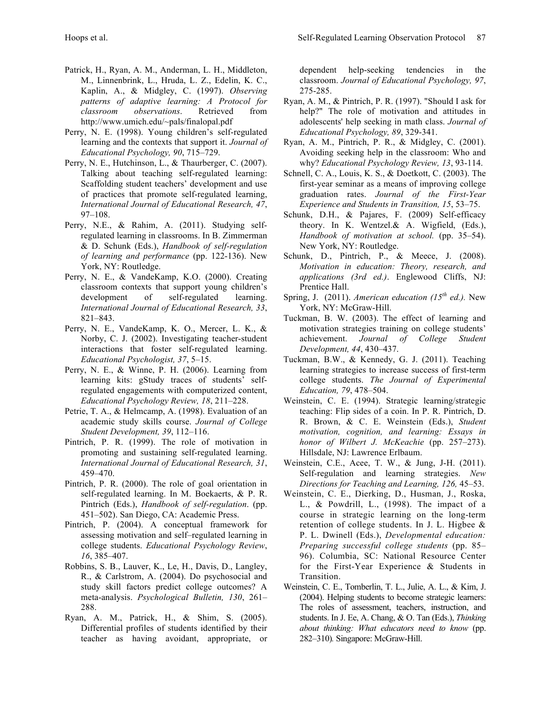- Patrick, H., Ryan, A. M., Anderman, L. H., Middleton, M., Linnenbrink, L., Hruda, L. Z., Edelin, K. C., Kaplin, A., & Midgley, C. (1997). *Observing patterns of adaptive learning: A Protocol for classroom observations*. Retrieved from http://www.umich.edu/~pals/finalopal.pdf
- Perry, N. E. (1998). Young children's self-regulated learning and the contexts that support it. *Journal of Educational Psychology, 90*, 715–729.
- Perry, N. E., Hutchinson, L., & Thaurberger, C. (2007). Talking about teaching self-regulated learning: Scaffolding student teachers' development and use of practices that promote self-regulated learning, *International Journal of Educational Research, 47*, 97–108.
- Perry, N.E., & Rahim, A. (2011). Studying selfregulated learning in classrooms. In B. Zimmerman & D. Schunk (Eds.), *Handbook of self-regulation of learning and performance* (pp. 122-136). New York, NY: Routledge.
- Perry, N. E., & VandeKamp, K.O. (2000). Creating classroom contexts that support young children's development of self-regulated learning. *International Journal of Educational Research, 33*, 821–843.
- Perry, N. E., VandeKamp, K. O., Mercer, L. K., & Norby, C. J. (2002). Investigating teacher-student interactions that foster self-regulated learning. *Educational Psychologist, 37*, 5–15.
- Perry, N. E., & Winne, P. H. (2006). Learning from learning kits: gStudy traces of students' selfregulated engagements with computerized content, *Educational Psychology Review, 18*, 211–228.
- Petrie, T. A., & Helmcamp, A. (1998). Evaluation of an academic study skills course. *Journal of College Student Development, 39*, 112–116.
- Pintrich, P. R. (1999). The role of motivation in promoting and sustaining self-regulated learning. *International Journal of Educational Research, 31*, 459–470.
- Pintrich, P. R. (2000). The role of goal orientation in self-regulated learning. In M. Boekaerts, & P. R. Pintrich (Eds.), *Handbook of self-regulation*. (pp. 451–502). San Diego, CA: Academic Press.
- Pintrich, P. (2004). A conceptual framework for assessing motivation and self–regulated learning in college students. *Educational Psychology Review*, *16*, 385–407.
- Robbins, S. B., Lauver, K., Le, H., Davis, D., Langley, R., & Carlstrom, A. (2004). Do psychosocial and study skill factors predict college outcomes? A meta-analysis. *Psychological Bulletin, 130*, 261– 288.
- Ryan, A. M., Patrick, H., & Shim, S. (2005). Differential profiles of students identified by their teacher as having avoidant, appropriate, or

dependent help-seeking tendencies in the classroom. *Journal of Educational Psychology, 97*, 275-285.

- Ryan, A. M., & Pintrich, P. R. (1997). "Should I ask for help?" The role of motivation and attitudes in adolescents' help seeking in math class. *Journal of Educational Psychology, 89*, 329-341.
- Ryan, A. M., Pintrich, P. R., & Midgley, C. (2001). Avoiding seeking help in the classroom: Who and why? *Educational Psychology Review, 13*, 93-114.
- Schnell, C. A., Louis, K. S., & Doetkott, C. (2003). The first-year seminar as a means of improving college graduation rates. *Journal of the First-Year Experience and Students in Transition, 15*, 53–75.
- Schunk, D.H., & Pajares, F. (2009) Self-efficacy theory. In K. Wentzel.& A. Wigfield, (Eds.), *Handbook of motivation at school.* (pp. 35–54). New York, NY: Routledge.
- Schunk, D., Pintrich, P., & Meece, J. (2008). *Motivation in education: Theory, research, and applications (3rd ed.)*. Englewood Cliffs, NJ: Prentice Hall.
- Spring, J. (2011). *American education (15th ed.).* New York, NY: McGraw-Hill.
- Tuckman, B. W. (2003). The effect of learning and motivation strategies training on college students' achievement. *Journal of College Student Development, 44*, 430–437.
- Tuckman, B.W., & Kennedy, G. J. (2011). Teaching learning strategies to increase success of first-term college students. *The Journal of Experimental Education, 79*, 478–504.
- Weinstein, C. E. (1994). Strategic learning/strategic teaching: Flip sides of a coin. In P. R. Pintrich, D. R. Brown, & C. E. Weinstein (Eds.), *Student motivation, cognition, and learning: Essays in honor of Wilbert J. McKeachie* (pp. 257–273). Hillsdale, NJ: Lawrence Erlbaum.
- Weinstein, C.E., Acee, T. W., & Jung, J-H. (2011). Self-regulation and learning strategies. *New Directions for Teaching and Learning, 126,* 45–53.
- Weinstein, C. E., Dierking, D., Husman, J., Roska, L., & Powdrill, L., (1998). The impact of a course in strategic learning on the long-term retention of college students. In J. L. Higbee & P. L. Dwinell (Eds.), *Developmental education: Preparing successful college students* (pp. 85– 96). Columbia, SC: National Resource Center for the First-Year Experience & Students in Transition.
- Weinstein, C. E., Tomberlin, T. L., Julie, A. L., & Kim, J. (2004). Helping students to become strategic learners: The roles of assessment, teachers, instruction, and students. In J. Ee, A. Chang, & O. Tan (Eds.), *Thinking about thinking: What educators need to know* (pp. 282–310)*.* Singapore: McGraw-Hill.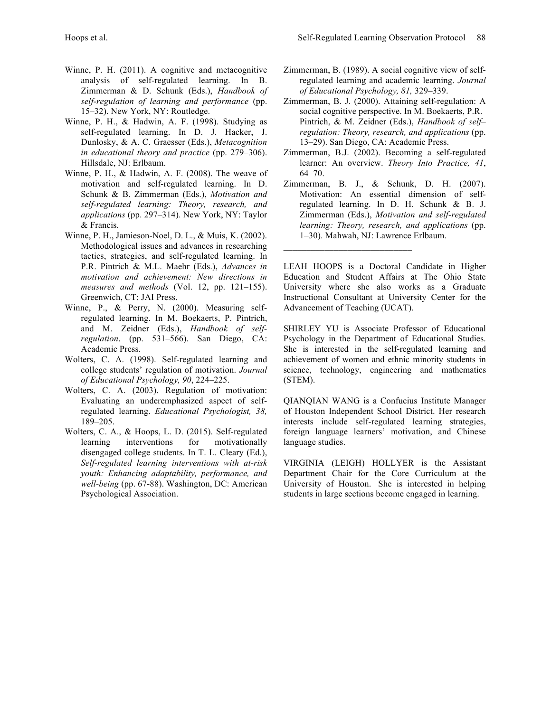- Winne, P. H. (2011). A cognitive and metacognitive analysis of self-regulated learning. In B. Zimmerman & D. Schunk (Eds.), *Handbook of self-regulation of learning and performance* (pp. 15–32). New York, NY: Routledge.
- Winne, P. H., & Hadwin, A. F. (1998). Studying as self-regulated learning. In D. J. Hacker, J. Dunlosky, & A. C. Graesser (Eds.), *Metacognition in educational theory and practice* (pp. 279–306). Hillsdale, NJ: Erlbaum.
- Winne, P. H., & Hadwin, A. F. (2008). The weave of motivation and self-regulated learning. In D. Schunk & B. Zimmerman (Eds.), *Motivation and self-regulated learning: Theory, research, and applications* (pp. 297–314). New York, NY: Taylor & Francis.
- Winne, P. H., Jamieson-Noel, D. L., & Muis, K. (2002). Methodological issues and advances in researching tactics, strategies, and self-regulated learning. In P.R. Pintrich & M.L. Maehr (Eds.), *Advances in motivation and achievement: New directions in measures and methods* (Vol. 12, pp. 121–155). Greenwich, CT: JAI Press.
- Winne, P., & Perry, N. (2000). Measuring selfregulated learning. In M. Boekaerts, P. Pintrich, and M. Zeidner (Eds.), *Handbook of selfregulation*. (pp. 531–566). San Diego, CA: Academic Press.
- Wolters, C. A. (1998). Self-regulated learning and college students' regulation of motivation. *Journal of Educational Psychology, 90*, 224–225.
- Wolters, C. A. (2003). Regulation of motivation: Evaluating an underemphasized aspect of selfregulated learning. *Educational Psychologist, 38,* 189–205.
- Wolters, C. A., & Hoops, L. D. (2015). Self-regulated learning interventions for motivationally disengaged college students. In T. L. Cleary (Ed.), *Self-regulated learning interventions with at-risk youth: Enhancing adaptability, performance, and well-being* (pp. 67-88). Washington, DC: American Psychological Association.
- Zimmerman, B. (1989). A social cognitive view of selfregulated learning and academic learning. *Journal of Educational Psychology, 81,* 329–339.
- Zimmerman, B. J. (2000). Attaining self-regulation: A social cognitive perspective. In M. Boekaerts, P.R. Pintrich, & M. Zeidner (Eds.), *Handbook of self– regulation: Theory, research, and applications* (pp. 13–29). San Diego, CA: Academic Press.
- Zimmerman, B.J. (2002). Becoming a self-regulated learner: An overview. *Theory Into Practice, 41*, 64–70.
- Zimmerman, B. J., & Schunk, D. H. (2007). Motivation: An essential dimension of selfregulated learning. In D. H. Schunk & B. J. Zimmerman (Eds.), *Motivation and self-regulated learning: Theory, research, and applications* (pp. 1–30). Mahwah, NJ: Lawrence Erlbaum.

 $\mathcal{L}_\text{max}$  , where  $\mathcal{L}_\text{max}$  and  $\mathcal{L}_\text{max}$ 

LEAH HOOPS is a Doctoral Candidate in Higher Education and Student Affairs at The Ohio State University where she also works as a Graduate Instructional Consultant at University Center for the Advancement of Teaching (UCAT).

SHIRLEY YU is Associate Professor of Educational Psychology in the Department of Educational Studies. She is interested in the self-regulated learning and achievement of women and ethnic minority students in science, technology, engineering and mathematics (STEM).

QIANQIAN WANG is a Confucius Institute Manager of Houston Independent School District. Her research interests include self-regulated learning strategies, foreign language learners' motivation, and Chinese language studies.

VIRGINIA (LEIGH) HOLLYER is the Assistant Department Chair for the Core Curriculum at the University of Houston. She is interested in helping students in large sections become engaged in learning.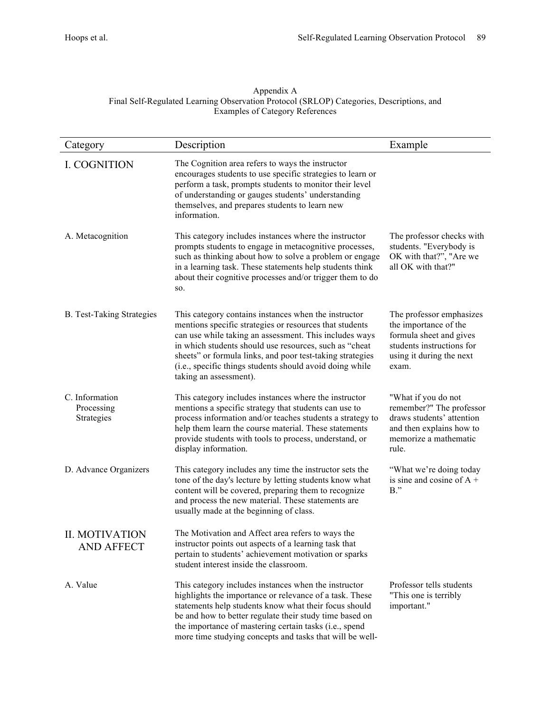# Appendix A Final Self-Regulated Learning Observation Protocol (SRLOP) Categories, Descriptions, and Examples of Category References

| Category                                   | Description                                                                                                                                                                                                                                                                                                                                                                            | Example                                                                                                                                        |
|--------------------------------------------|----------------------------------------------------------------------------------------------------------------------------------------------------------------------------------------------------------------------------------------------------------------------------------------------------------------------------------------------------------------------------------------|------------------------------------------------------------------------------------------------------------------------------------------------|
| <b>I. COGNITION</b>                        | The Cognition area refers to ways the instructor<br>encourages students to use specific strategies to learn or<br>perform a task, prompts students to monitor their level<br>of understanding or gauges students' understanding<br>themselves, and prepares students to learn new<br>information.                                                                                      |                                                                                                                                                |
| A. Metacognition                           | This category includes instances where the instructor<br>prompts students to engage in metacognitive processes,<br>such as thinking about how to solve a problem or engage<br>in a learning task. These statements help students think<br>about their cognitive processes and/or trigger them to do<br>SO.                                                                             | The professor checks with<br>students. "Everybody is<br>OK with that?", "Are we<br>all OK with that?"                                          |
| <b>B.</b> Test-Taking Strategies           | This category contains instances when the instructor<br>mentions specific strategies or resources that students<br>can use while taking an assessment. This includes ways<br>in which students should use resources, such as "cheat<br>sheets" or formula links, and poor test-taking strategies<br>(i.e., specific things students should avoid doing while<br>taking an assessment). | The professor emphasizes<br>the importance of the<br>formula sheet and gives<br>students instructions for<br>using it during the next<br>exam. |
| C. Information<br>Processing<br>Strategies | This category includes instances where the instructor<br>mentions a specific strategy that students can use to<br>process information and/or teaches students a strategy to<br>help them learn the course material. These statements<br>provide students with tools to process, understand, or<br>display information.                                                                 | "What if you do not<br>remember?" The professor<br>draws students' attention<br>and then explains how to<br>memorize a mathematic<br>rule.     |
| D. Advance Organizers                      | This category includes any time the instructor sets the<br>tone of the day's lecture by letting students know what<br>content will be covered, preparing them to recognize<br>and process the new material. These statements are<br>usually made at the beginning of class.                                                                                                            | "What we're doing today<br>is sine and cosine of $A +$<br>$B$ ."                                                                               |
| <b>II. MOTIVATION</b><br><b>AND AFFECT</b> | The Motivation and Affect area refers to ways the<br>instructor points out aspects of a learning task that<br>pertain to students' achievement motivation or sparks<br>student interest inside the classroom.                                                                                                                                                                          |                                                                                                                                                |
| A. Value                                   | This category includes instances when the instructor<br>highlights the importance or relevance of a task. These<br>statements help students know what their focus should<br>be and how to better regulate their study time based on<br>the importance of mastering certain tasks (i.e., spend<br>more time studying concepts and tasks that will be well-                              | Professor tells students<br>"This one is terribly<br>important."                                                                               |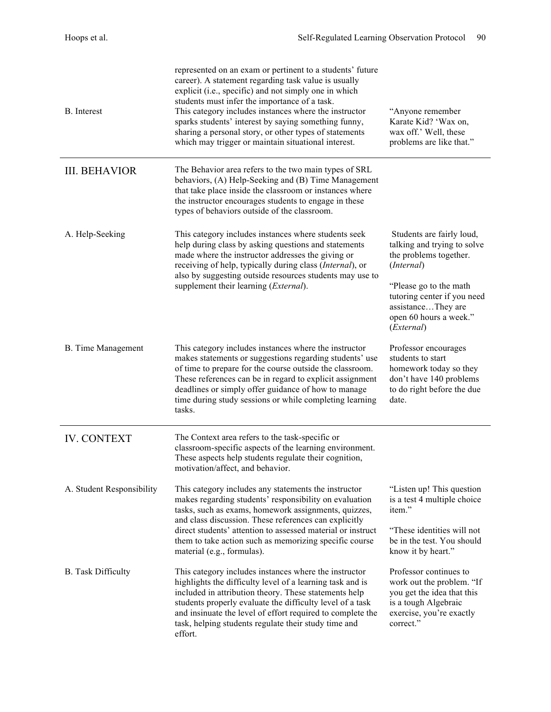| <b>B.</b> Interest        | represented on an exam or pertinent to a students' future<br>career). A statement regarding task value is usually<br>explicit (i.e., specific) and not simply one in which<br>students must infer the importance of a task.<br>This category includes instances where the instructor<br>sparks students' interest by saying something funny,<br>sharing a personal story, or other types of statements<br>which may trigger or maintain situational interest. | "Anyone remember<br>Karate Kid? 'Wax on,<br>wax off.' Well, these<br>problems are like that."                                                                                                                           |
|---------------------------|---------------------------------------------------------------------------------------------------------------------------------------------------------------------------------------------------------------------------------------------------------------------------------------------------------------------------------------------------------------------------------------------------------------------------------------------------------------|-------------------------------------------------------------------------------------------------------------------------------------------------------------------------------------------------------------------------|
| <b>III. BEHAVIOR</b>      | The Behavior area refers to the two main types of SRL<br>behaviors, (A) Help-Seeking and (B) Time Management<br>that take place inside the classroom or instances where<br>the instructor encourages students to engage in these<br>types of behaviors outside of the classroom.                                                                                                                                                                              |                                                                                                                                                                                                                         |
| A. Help-Seeking           | This category includes instances where students seek<br>help during class by asking questions and statements<br>made where the instructor addresses the giving or<br>receiving of help, typically during class (Internal), or<br>also by suggesting outside resources students may use to<br>supplement their learning ( <i>External</i> ).                                                                                                                   | Students are fairly loud,<br>talking and trying to solve<br>the problems together.<br>(Internal)<br>"Please go to the math<br>tutoring center if you need<br>assistanceThey are<br>open 60 hours a week."<br>(External) |
| <b>B.</b> Time Management | This category includes instances where the instructor<br>makes statements or suggestions regarding students' use<br>of time to prepare for the course outside the classroom.<br>These references can be in regard to explicit assignment<br>deadlines or simply offer guidance of how to manage<br>time during study sessions or while completing learning<br>tasks.                                                                                          | Professor encourages<br>students to start<br>homework today so they<br>don't have 140 problems<br>to do right before the due<br>date.                                                                                   |
| <b>IV. CONTEXT</b>        | The Context area refers to the task-specific or<br>classroom-specific aspects of the learning environment.<br>These aspects help students regulate their cognition,<br>motivation/affect, and behavior.                                                                                                                                                                                                                                                       |                                                                                                                                                                                                                         |
| A. Student Responsibility | This category includes any statements the instructor<br>makes regarding students' responsibility on evaluation<br>tasks, such as exams, homework assignments, quizzes,<br>and class discussion. These references can explicitly<br>direct students' attention to assessed material or instruct<br>them to take action such as memorizing specific course<br>material (e.g., formulas).                                                                        | "Listen up! This question"<br>is a test 4 multiple choice<br>item."<br>"These identities will not<br>be in the test. You should<br>know it by heart."                                                                   |
| <b>B.</b> Task Difficulty | This category includes instances where the instructor<br>highlights the difficulty level of a learning task and is<br>included in attribution theory. These statements help<br>students properly evaluate the difficulty level of a task<br>and insinuate the level of effort required to complete the<br>task, helping students regulate their study time and<br>effort.                                                                                     | Professor continues to<br>work out the problem. "If<br>you get the idea that this<br>is a tough Algebraic<br>exercise, you're exactly<br>correct."                                                                      |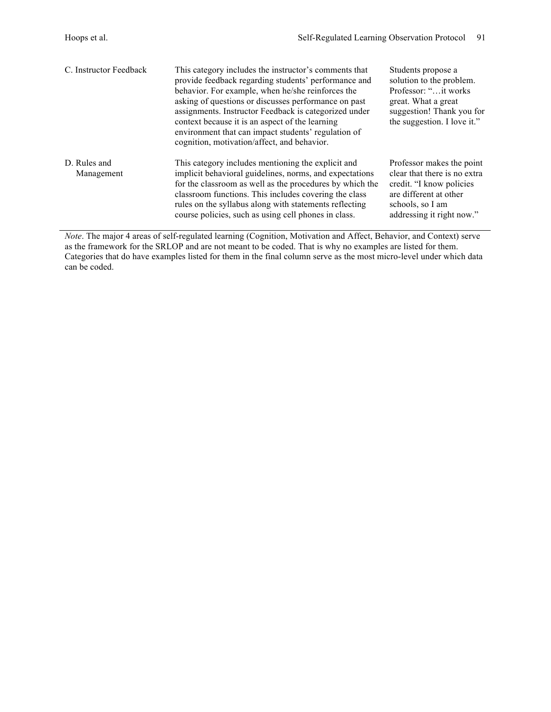| C. Instructor Feedback     | This category includes the instructor's comments that<br>provide feedback regarding students' performance and<br>behavior. For example, when he/she reinforces the<br>asking of questions or discusses performance on past<br>assignments. Instructor Feedback is categorized under<br>context because it is an aspect of the learning<br>environment that can impact students' regulation of<br>cognition, motivation/affect, and behavior. | Students propose a<br>solution to the problem.<br>Professor: " it works<br>great. What a great<br>suggestion! Thank you for<br>the suggestion. I love it."       |
|----------------------------|----------------------------------------------------------------------------------------------------------------------------------------------------------------------------------------------------------------------------------------------------------------------------------------------------------------------------------------------------------------------------------------------------------------------------------------------|------------------------------------------------------------------------------------------------------------------------------------------------------------------|
| D. Rules and<br>Management | This category includes mentioning the explicit and<br>implicit behavioral guidelines, norms, and expectations<br>for the classroom as well as the procedures by which the<br>classroom functions. This includes covering the class<br>rules on the syllabus along with statements reflecting<br>course policies, such as using cell phones in class.                                                                                         | Professor makes the point<br>clear that there is no extra<br>credit. "I know policies<br>are different at other<br>schools, so I am<br>addressing it right now." |

*Note*. The major 4 areas of self-regulated learning (Cognition, Motivation and Affect, Behavior, and Context) serve as the framework for the SRLOP and are not meant to be coded. That is why no examples are listed for them. Categories that do have examples listed for them in the final column serve as the most micro-level under which data can be coded.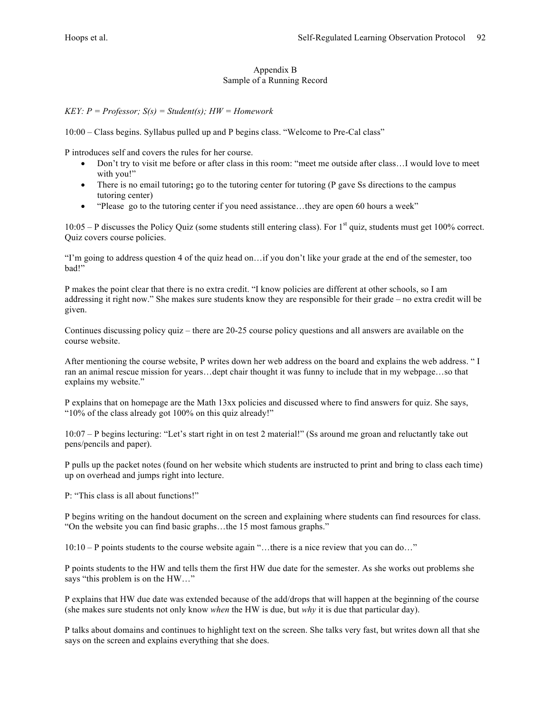# Appendix B Sample of a Running Record

# *KEY: P = Professor; S(s) = Student(s); HW = Homework*

10:00 – Class begins. Syllabus pulled up and P begins class. "Welcome to Pre-Cal class"

P introduces self and covers the rules for her course.

- Don't try to visit me before or after class in this room: "meet me outside after class…I would love to meet with you!"
- There is no email tutoring; go to the tutoring center for tutoring (P gave Ss directions to the campus tutoring center)
- "Please go to the tutoring center if you need assistance…they are open 60 hours a week"

 $10:05 - P$  discusses the Policy Quiz (some students still entering class). For 1<sup>st</sup> quiz, students must get 100% correct. Quiz covers course policies.

"I'm going to address question 4 of the quiz head on…if you don't like your grade at the end of the semester, too bad!"

P makes the point clear that there is no extra credit. "I know policies are different at other schools, so I am addressing it right now." She makes sure students know they are responsible for their grade – no extra credit will be given.

Continues discussing policy quiz – there are 20-25 course policy questions and all answers are available on the course website.

After mentioning the course website, P writes down her web address on the board and explains the web address. " I ran an animal rescue mission for years…dept chair thought it was funny to include that in my webpage…so that explains my website."

P explains that on homepage are the Math 13xx policies and discussed where to find answers for quiz. She says, "10% of the class already got 100% on this quiz already!"

10:07 – P begins lecturing: "Let's start right in on test 2 material!" (Ss around me groan and reluctantly take out pens/pencils and paper).

P pulls up the packet notes (found on her website which students are instructed to print and bring to class each time) up on overhead and jumps right into lecture.

P: "This class is all about functions!"

P begins writing on the handout document on the screen and explaining where students can find resources for class. "On the website you can find basic graphs…the 15 most famous graphs."

10:10 – P points students to the course website again "…there is a nice review that you can do…"

P points students to the HW and tells them the first HW due date for the semester. As she works out problems she says "this problem is on the HW…"

P explains that HW due date was extended because of the add/drops that will happen at the beginning of the course (she makes sure students not only know *when* the HW is due, but *why* it is due that particular day).

P talks about domains and continues to highlight text on the screen. She talks very fast, but writes down all that she says on the screen and explains everything that she does.